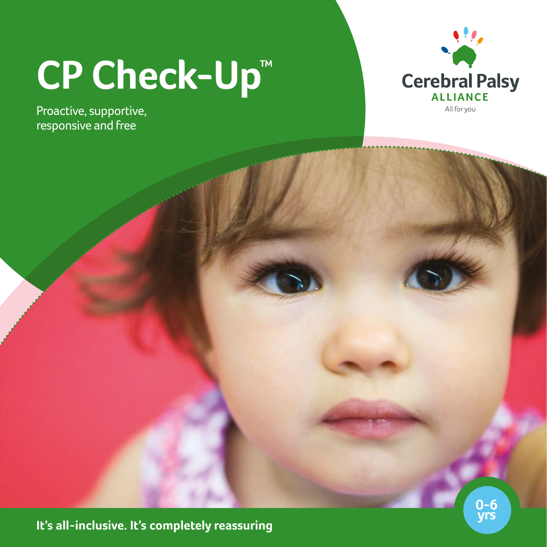# CP Check-Up<sup>™</sup>

Proactive, supportive, responsive and free



**0-6 yrs**

**It's all-inclusive. It's completely reassuring**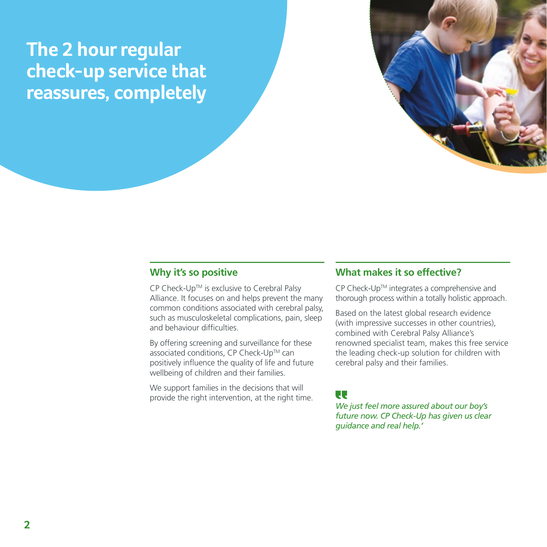# **The 2 hour regular check-up service that reassures, completely**



#### **Why it's so positive**

CP Check-Up™ is exclusive to Cerebral Palsy Alliance. It focuses on and helps prevent the many common conditions associated with cerebral palsy, such as musculoskeletal complications, pain, sleep and behaviour difficulties.

By offering screening and surveillance for these associated conditions, CP Check-Up™ can positively influence the quality of life and future wellbeing of children and their families.

We support families in the decisions that will provide the right intervention, at the right time.

## **What makes it so effective?**

CP Check-Up™ integrates a comprehensive and thorough process within a totally holistic approach.

Based on the latest global research evidence (with impressive successes in other countries), combined with Cerebral Palsy Alliance's renowned specialist team, makes this free service the leading check-up solution for children with cerebral palsy and their families.

#### w

*We just feel more assured about our boy's future now. CP Check-Up has given us clear guidance and real help.'*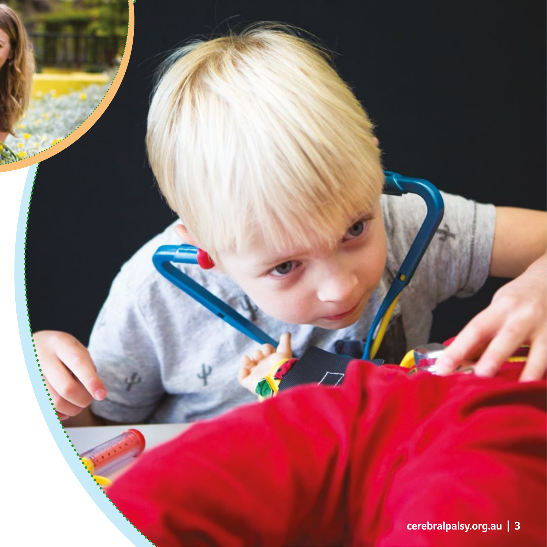

**AN** 

.....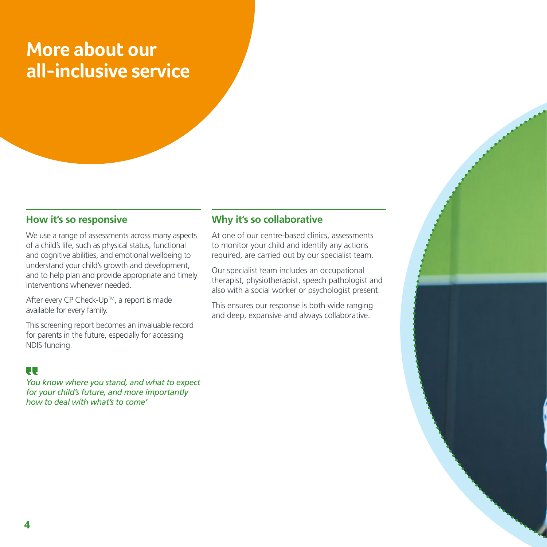# **More about our all-inclusive service**

#### **How it's so responsive**

We use a range of assessments across many aspects of a child's life, such as physical status, functional and cognitive abilities, and emotional wellbeing to understand your child's growth and development, and to help plan and provide appropriate and timely interventions whenever needed.

After every CP Check-Up™, a report is made available for every family.

This screening report becomes an invaluable record for parents in the future, especially for accessing NDIS funding.

## U.

*You know where you stand, and what to expect for your child's future, and more importantly how to deal with what's to come'*

## **Why it's so collaborative**

At one of our centre-based clinics, assessments to monitor your child and identify any actions required, are carried out by our specialist team.

Our specialist team includes an occupational therapist, physiotherapist, speech pathologist and also with a social worker or psychologist present.

This ensures our response is both wide ranging and deep, expansive and always collaborative.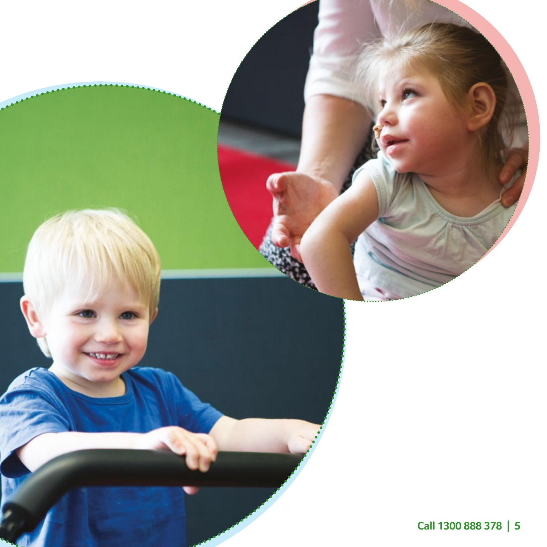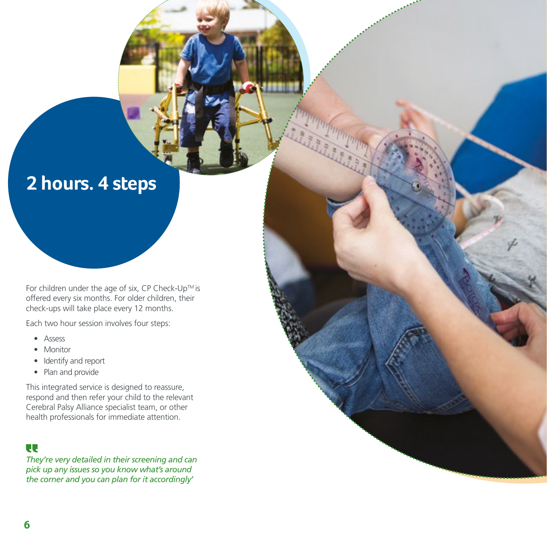# **2 hours. 4 steps**

For children under the age of six, CP Check-Up™ is offered every six months. For older children, their check-ups will take place every 12 months.

Each two hour session involves four steps:

- Assess
- Monitor
- Identify and report
- Plan and provide

This integrated service is designed to reassure, respond and then refer your child to the relevant Cerebral Palsy Alliance specialist team, or other health professionals for immediate attention.

## $\overline{\mathbf{u}}$

*They're very detailed in their screening and can pick up any issues so you know what's around the corner and you can plan for it accordingly'*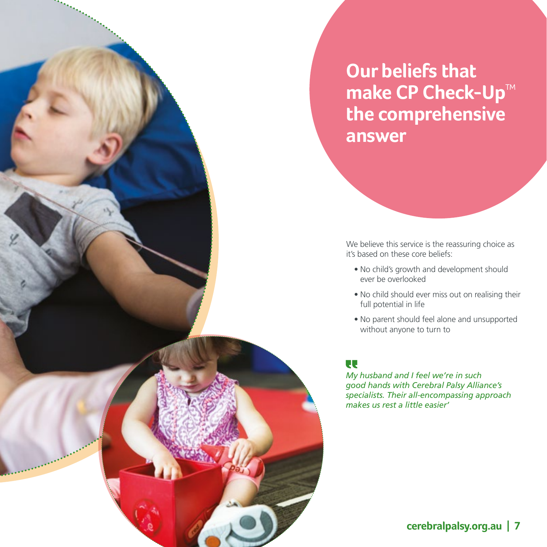**Our beliefs that make CP Check-Up**TM **the comprehensive answer**

We believe this service is the reassuring choice as it's based on these core beliefs:

- No child's growth and development should ever be overlooked
- No child should ever miss out on realising their full potential in life
- No parent should feel alone and unsupported without anyone to turn to

#### w

*My husband and I feel we're in such good hands with Cerebral Palsy Alliance's specialists. Their all-encompassing approach makes us rest a little easier'*